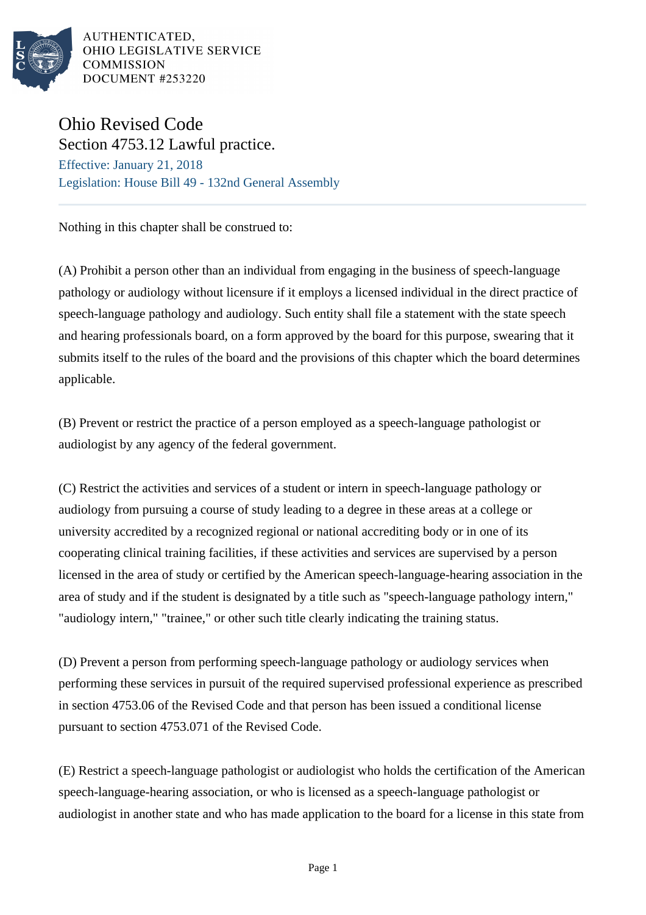

AUTHENTICATED. OHIO LEGISLATIVE SERVICE **COMMISSION** DOCUMENT #253220

## Ohio Revised Code Section 4753.12 Lawful practice.

Effective: January 21, 2018 Legislation: House Bill 49 - 132nd General Assembly

Nothing in this chapter shall be construed to:

(A) Prohibit a person other than an individual from engaging in the business of speech-language pathology or audiology without licensure if it employs a licensed individual in the direct practice of speech-language pathology and audiology. Such entity shall file a statement with the state speech and hearing professionals board, on a form approved by the board for this purpose, swearing that it submits itself to the rules of the board and the provisions of this chapter which the board determines applicable.

(B) Prevent or restrict the practice of a person employed as a speech-language pathologist or audiologist by any agency of the federal government.

(C) Restrict the activities and services of a student or intern in speech-language pathology or audiology from pursuing a course of study leading to a degree in these areas at a college or university accredited by a recognized regional or national accrediting body or in one of its cooperating clinical training facilities, if these activities and services are supervised by a person licensed in the area of study or certified by the American speech-language-hearing association in the area of study and if the student is designated by a title such as "speech-language pathology intern," "audiology intern," "trainee," or other such title clearly indicating the training status.

(D) Prevent a person from performing speech-language pathology or audiology services when performing these services in pursuit of the required supervised professional experience as prescribed in section 4753.06 of the Revised Code and that person has been issued a conditional license pursuant to section 4753.071 of the Revised Code.

(E) Restrict a speech-language pathologist or audiologist who holds the certification of the American speech-language-hearing association, or who is licensed as a speech-language pathologist or audiologist in another state and who has made application to the board for a license in this state from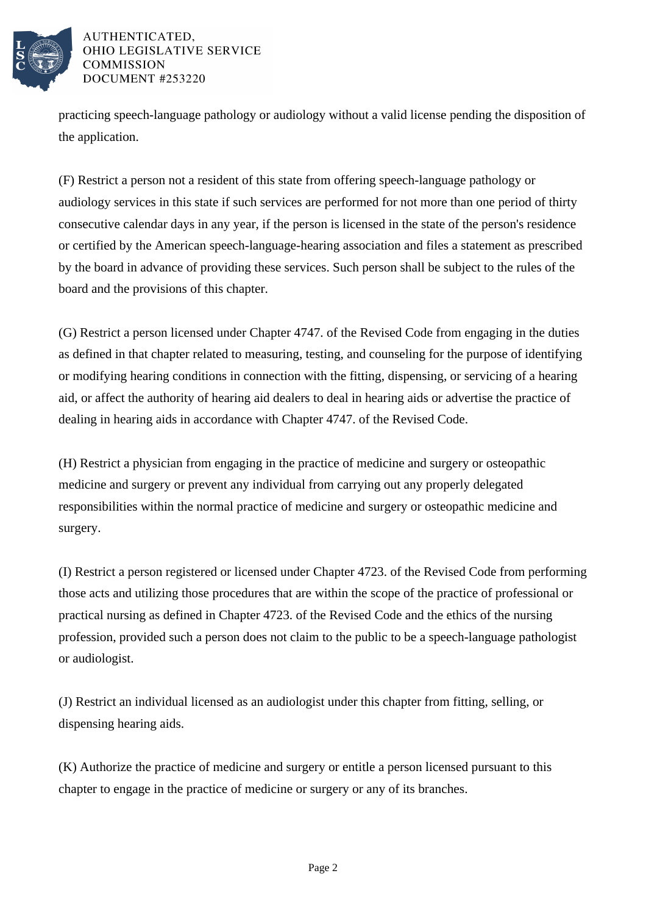

AUTHENTICATED. OHIO LEGISLATIVE SERVICE **COMMISSION** DOCUMENT #253220

practicing speech-language pathology or audiology without a valid license pending the disposition of the application.

(F) Restrict a person not a resident of this state from offering speech-language pathology or audiology services in this state if such services are performed for not more than one period of thirty consecutive calendar days in any year, if the person is licensed in the state of the person's residence or certified by the American speech-language-hearing association and files a statement as prescribed by the board in advance of providing these services. Such person shall be subject to the rules of the board and the provisions of this chapter.

(G) Restrict a person licensed under Chapter 4747. of the Revised Code from engaging in the duties as defined in that chapter related to measuring, testing, and counseling for the purpose of identifying or modifying hearing conditions in connection with the fitting, dispensing, or servicing of a hearing aid, or affect the authority of hearing aid dealers to deal in hearing aids or advertise the practice of dealing in hearing aids in accordance with Chapter 4747. of the Revised Code.

(H) Restrict a physician from engaging in the practice of medicine and surgery or osteopathic medicine and surgery or prevent any individual from carrying out any properly delegated responsibilities within the normal practice of medicine and surgery or osteopathic medicine and surgery.

(I) Restrict a person registered or licensed under Chapter 4723. of the Revised Code from performing those acts and utilizing those procedures that are within the scope of the practice of professional or practical nursing as defined in Chapter 4723. of the Revised Code and the ethics of the nursing profession, provided such a person does not claim to the public to be a speech-language pathologist or audiologist.

(J) Restrict an individual licensed as an audiologist under this chapter from fitting, selling, or dispensing hearing aids.

(K) Authorize the practice of medicine and surgery or entitle a person licensed pursuant to this chapter to engage in the practice of medicine or surgery or any of its branches.